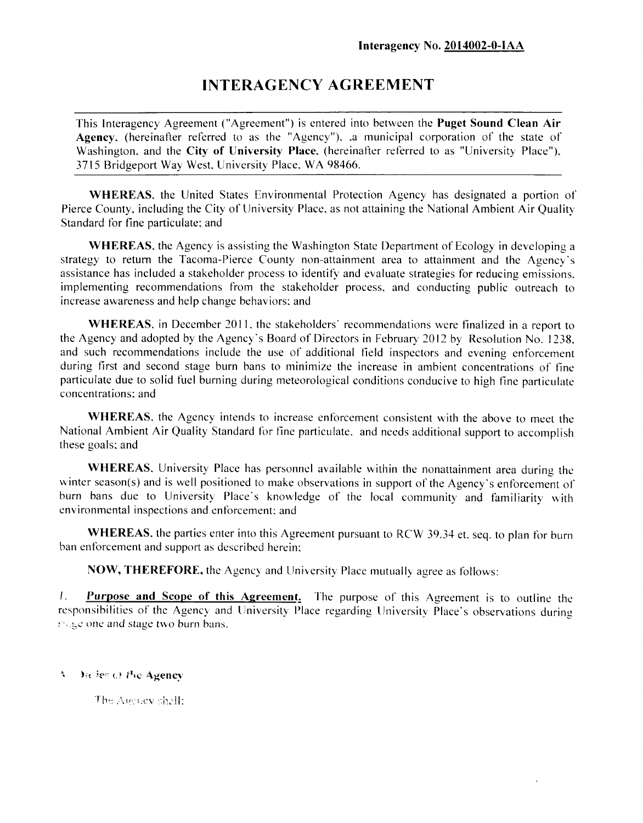# **INTERAGENCY AGREEMENT**

This Interagency Agreement ("Agreement") is entered into between the **Puget Sound Clean Air Agency,** (hereinafter referred to as the "Agency"), .a municipal corporation of the state of Washington, and the **City of University Place,** (hereinafter referred to as "University Place"). 3715 Bridgeport Way West. University Place. WA 98466.

**WHEREAS,** the United States Environmental Protection Agency has designated a portion of Pierce County, including the City of University Place, as not attaining the National Ambient Air Quality Standard for fine particulate; and

**WHEREAS,** the Agency is assisting the Washington State Department of Ecology in developing a strategy to return the Tacoma-Pierce County non-attainment area to attainment and the Agency's assistance has included a stakeholder process to identify and evaluate strategies for reducing emissions, implementing recommendations from the stakeholder process, and conducting public outreach to increase awareness and help change behaviors: and

**WHEREAS,** in December 2011, the stakeholders' recommendations were finalized in a report to the Agency and adopted by the Agency's Board of Directors in February 2012 by Resolution No. 1238. and such recommendations include the use of additional field inspectors and evening enforcement during first and second stage burn bans to minimize the increase in ambient concentrations of fine particulate due to solid fuel burning during meteorological conditions conducive to high fine particulate concentrations; and

**WHEREAS,** the Agency intends to increase enforcement consistent with the above to meet the National Ambient Air Quality Standard for fine particulate. and needs additional support to accomplish these goals; and

**WHEREAS,** University Place has personnel available within the nonattainment area during the winter season(s) and is well positioned to make observations in support of the Agency's enforcement of burn bans due to University Place's knowledge of the local community and familiarity with environmental inspections and enforcement; and

**WHEREAS,** the parties enter into this Agreement pursuant to RCW 39.34 et. seq. to plan for burn ban enforcement and support as described herein;

**NOW, THEREFORE,** the Agency and University Place mutually agree as follows:

**/. Purpose and Scope of this Agreement.** The purpose of this Agreement is to outline the responsibilities of the Agency and University Place regarding University Place's observations during suge one and stage two burn bans.

**A** Diciency the Agency

The Agency shall: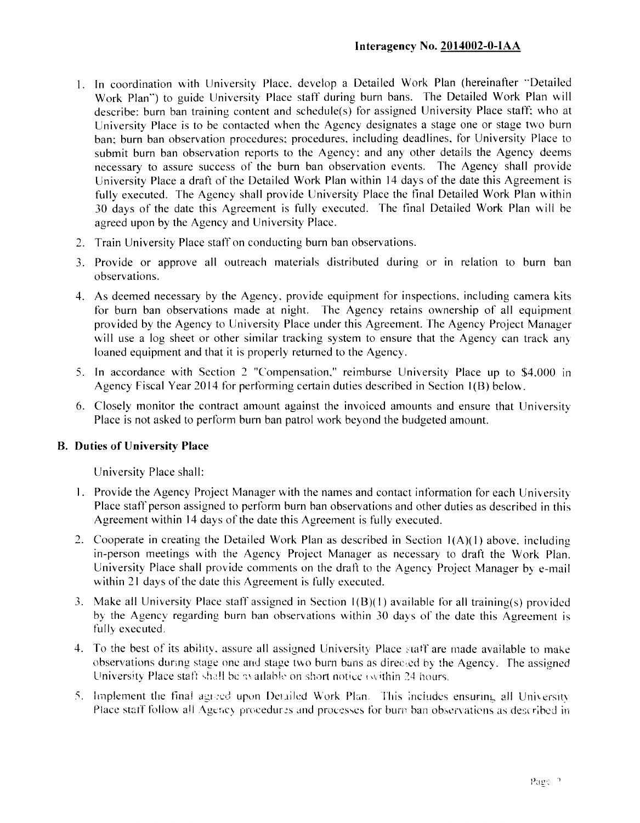- 1. In coordination with University Place, develop a Detailed Work Plan (hereinafter "Detailed Work Plan") to guide University Place staff during burn bans. The Detailed Work Plan will describe: burn ban training content and schedule(s) for assigned University Place staff; who at University Place is to be contacted when the Agency designates a stage one or stage two burn ban; burn ban observation procedures; procedures, including deadlines, for University Place to submit burn ban observation reports to the Agency; and any other details the Agency deems necessary to assure success of the burn ban observation events. The Agency shall provide University Place a draft of the Detailed Work Plan within 14 days of the date this Agreement is fully executed. The Agency shall provide University Place the final Detailed Work Plan within 30 days of the date this Agreement is fully executed. The final Detailed Work Plan will be agreed upon by the Agency and University Place.
- 2. Train University Place staff on conducting burn ban observations.
- 3. Provide or approve all outreach materials distributed during or in relation to burn ban observations.
- 4. As deemed necessary by the Agency, provide equipment for inspections, including camera kits for burn ban observations made at night. The Agency retains ownership of all equipment provided by the Agency to University Place under this Agreement. The Agency Project Manager will use a log sheet or other similar tracking system to ensure that the Agency can track any loaned equipment and that it is properly returned to the Agency.
- 5. In accordance with Section 2 "Compensation," reimburse University Place up to \$4,000 in Agency Fiscal Year 2014 for performing certain duties described in Section 1(B) below.
- 6. Closely monitor the contract amount against the invoiced amounts and ensure that University Place is not asked to perform burn ban patrol work beyond the budgeted amount.

#### **B. Duties of University Place**

University Place shall:

- 1. Provide the Agency Project Manager with the names and contact information for each University Place staff person assigned to perform burn ban observations and other duties as described in this Agreement within 14 days of the date this Agreement is fully executed.
- 2. Cooperate in creating the Detailed Work Plan as described in Section 1(A)(1) above, including in-person meetings with the Agency Project Manager as necessary to draft the Work Plan. University Place shall provide comments on the draft to the Agency Project Manager by e-mail within 21 days of the date this Agreement is fully executed.
- 3. Make all University Place staff assigned in Section I(B)(I ) available for all training(s) provided by the Agency regarding burn ban observations within 30 days of the date this Agreement is fully executed.
- 4. To the best of its ability, assure all assigned University Place staff are made available to make observations during stage one and stage two burn bans as directed by the Agency. The assigned University Place staff shall be available on short notice (within 24 hours.
- 5. Implement the final agreed upon Detailed Work Plan. This includes ensuring all University Place staff follow all Agency procedures and processes for burn ban observations as described in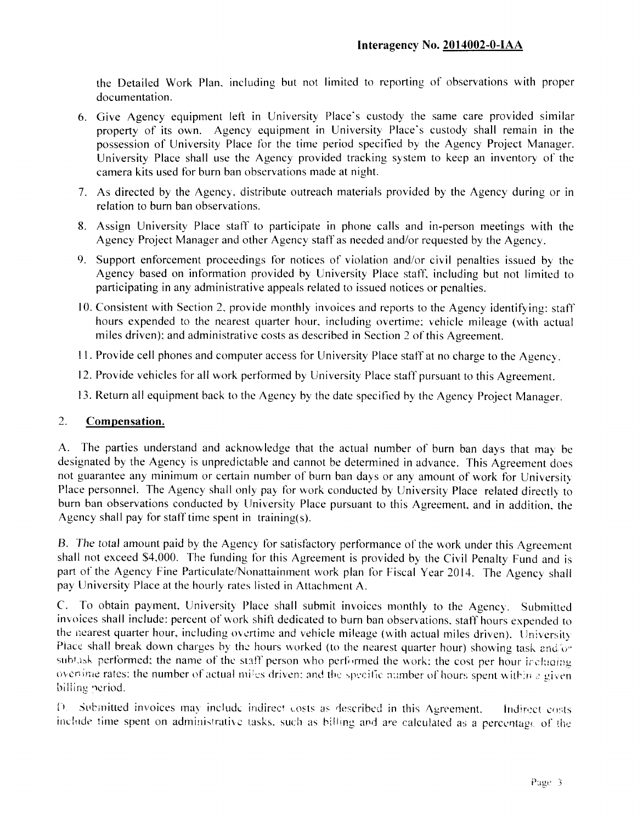the Detailed Work Plan, including but not limited to reporting of observations with proper documentation.

- 6. Give Agency equipment left in University Place's custody the same care provided similar property of its own. Agency equipment in University Place's custody shall remain in the possession of University Place for the time period specified by the Agency Project Manager. University Place shall use the Agency provided tracking system to keep an inventory of the camera kits used for burn ban observations made at night.
- 7. As directed by the Agency, distribute outreach materials provided by the Agency during or in relation to burn ban observations.
- 8. Assign University Place staff to participate in phone calls and in-person meetings with the Agency Project Manager and other Agency staff as needed and/or requested by the Agency.
- 9. Support enforcement proceedings for notices of violation and/or civil penalties issued by the Agency based on information provided by University Place staff, including but not limited to participating in any administrative appeals related to issued notices or penalties.
- 10. Consistent with Section 2, provide monthly invoices and reports to the Agency identifying: staff hours expended to the nearest quarter hour, including overtime; vehicle mileage (with actual miles driven); and administrative costs as described in Section 2 of this Agreement.
- 1 1. Provide cell phones and computer access for University Place staff at no charge to the Agency.
- 12. Provide vehicles for all work performed by University Place staff pursuant to this Agreement.
- 13. Return all equipment back to the Agency by the date specified by the Agency Project Manager.

## **2. Compensation.**

A. The parties understand and acknowledge that the actual number of burn ban days that may be designated by the Agency is unpredictable and cannot be determined in advance. This Agreement does not guarantee any minimum or certain number of burn ban days or any amount of work for University Place personnel. The Agency shall only pay for work conducted by University Place related directly to burn ban observations conducted by University Place pursuant to this Agreement, and in addition, the Agency shall pay for staff time spent in training(s).

B. The total amount paid by the Agency for satisfactory performance of the work under this Agreement shall not exceed \$4,000. The funding for this Agreement is provided by the Civil Penalty Fund and is part of the Agency Fine Particulate/Nonattainment work plan for Fiscal Year 2014. The Agency shall pay University Place at the hourly rates listed in Attachment A.

C. To obtain payment, University Place shall submit invoices monthly to the Agency. Submitted invoices shall include: percent of work shift dedicated to burn ban observations, staff hours expended to the nearest quarter hour, including overtime and vehicle mileage (with actual miles driven). University Place shall break down charges by the hours worked (to the nearest quarter hour) showing task and/or subtask performed; the name of the staff person who performed the work; the cost per hour ir-change overtime rates: the number of actual miles driven; and the specific number of hours spent within a given billing period.

D. Submitted invoices may include indirect costs as described in this Agreement. Indirect costs include time spent on administrative tasks, such as billing and are calculated as a percentage of the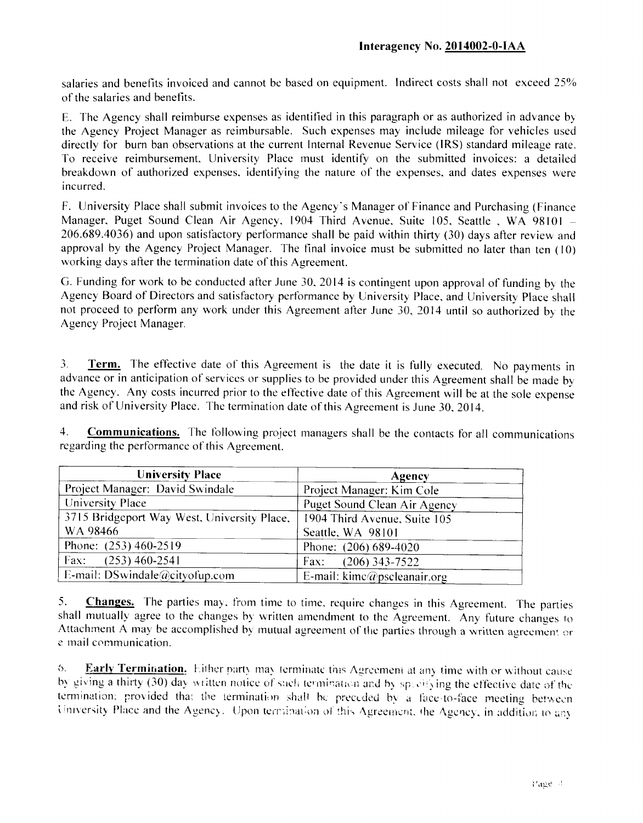salaries and benefits invoiced and cannot be based on equipment. Indirect costs shall not exceed 25% of the salaries and benefits.

E. The Agency shall reimburse expenses as identified in this paragraph or as authorized in advance by the Agency Project Manager as reimbursable. Such expenses may include mileage for vehicles used directly for burn ban observations at the current Internal Revenue Service (IRS) standard mileage rate. To receive reimbursement. University Place must identify on the submitted invoices: a detailed breakdown of authorized expenses, identifying the nature of the expenses, and dates expenses were incurred.

F. University Place shall submit invoices to the Agency's Manager of Finance and Purchasing (Finance Manager, Puget Sound Clean Air Agency, 1904 Third Avenue, Suite 105, Seattle, WA 98101 -206.689.4036) and upon satisfactory performance shall be paid within thirty (30) days after review and approval by the Agency Project Manager. The final invoice must be submitted no later than ten (10 ) working days after the termination date of this Agreement.

G. Funding for work to be conducted after June 30. 2014 is contingent upon approval of funding by the Agency Board of Directors and satisfactory performance by University Place, and University Place shall not proceed to perform any work under this Agreement after June 30, 2014 until so authorized by the Agency Project Manager.

**3. Term.** The effective date of this Agreement is the date it is fully executed. No payments in advance or in anticipation of services or supplies to be provided under this Agreement shall be made by the Agency. Any costs incurred prior to the effective date of this Agreement will be at the sole expense and risk of University Place. The termination date of this Agreement is June 30, 2014.

**4. Communications.** The following project managers shall be the contacts for all communications regarding the performance of this Agreement.

| <b>University Place</b>                     | Agency                                              |
|---------------------------------------------|-----------------------------------------------------|
| Project Manager: David Swindale             | Project Manager: Kim Cole                           |
| University Place                            | Puget Sound Clean Air Agency                        |
| 3715 Bridgeport Way West, University Place, | 1904 Third Avenue, Suite 105                        |
| WA 98466                                    | Seattle, WA 98101                                   |
| Phone: $(253)$ 460-2519                     | Phone: $(206) 689-4020$                             |
| Fax: $(253)$ 460-2541                       | $(206)$ 343-7522<br>Fax:                            |
| E-mail: DSwindale@cityofup.com              | E-mail: $\text{kime}\textcircled{q}$ pscleanair.org |

**5. Changes.** The parties may. from time to time, require changes in this Agreement. The parties shall mutually agree to the changes by written amendment to the Agreement. Any future changes to Attachment A may be accomplished by mutual agreement of the parties through a written agreemen' or e mail communication.

6. **Early Termination.** Either party may terminate this Agreement at any time with or without cause by giving a thirty (30) day written notice of such termination and by specifying the effective date of the termination; provided that the termination shall be preceded by a face-to-face meeting between University Place and the Agency. Upon termination of this Agreement, the Agency, in addition to any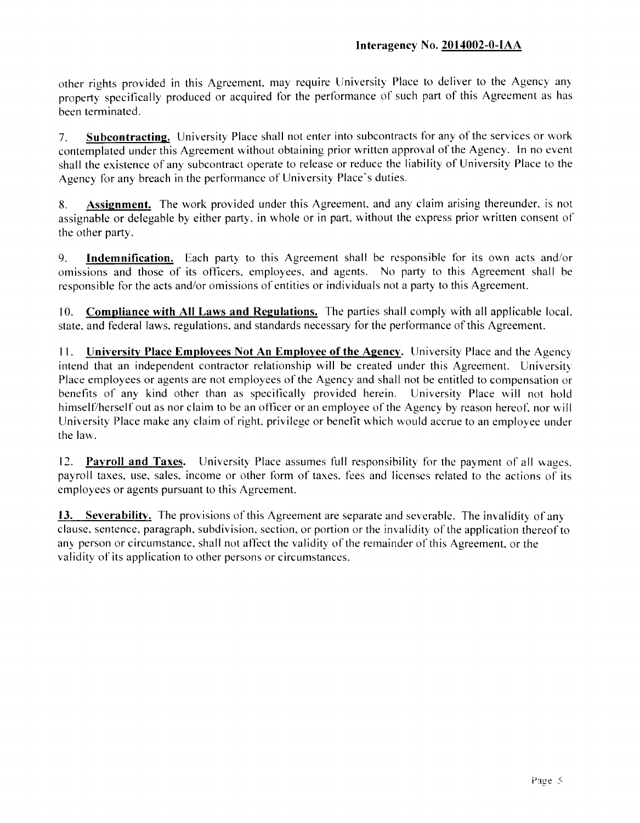other rights provided in this Agreement, may require University Place to deliver to the Agency any property specifically produced or acquired tor the performance of such part of this Agreement as has been terminated.

**7. Subcontracting.** University Place shall not enter into subcontracts for any of the services or work contemplated under this Agreement without obtaining prior written approval of the Agency. In no event shall the existence of any subcontract operate to release or reduce the liability of University Place to the Agency for any breach in the performance of University Place's duties.

**8. Assignment.** The work provided under this Agreement, and any claim arising thereunder, is not assignable or delegable by either party, in whole or in part, without the express prior written consent of the other party.

**9. Indemnification.** Each party to this Agreement shall be responsible for its own acts and/or omissions and those of its officers, employees, and agents. No party to this Agreement shall be responsible for the acts and/or omissions of entities or individuals not a party to this Agreement.

**10. Compliance with All Laws and Regulations.** The parties shall comply with all applicable local, state, and federal laws, regulations, and standards necessary for the performance of this Agreement.

**1 1 . University Place Employees Not An Employee of the Agency.** University Place and the Agency intend that an independent contractor relationship will be created under this Agreement. University Place employees or agents are not employees of the Agency and shall not be entitled to compensation or benefits of any kind other than as specifically provided herein. University Place will not hold himself/herself out as nor claim to be an officer or an employee of the Agency by reason hereof, nor will University Place make any claim of right, privilege or benefit which would accrue to an employee under the law.

**12. Payroll and Taxes.** University Place assumes full responsibility for the payment of all wages, payroll taxes, use, sales, income or other form of taxes, fees and licenses related to the actions of its employees or agents pursuant to this Agreement.

**13. Severability.** The provisions of this Agreement are separate and severable. The invalidity of any clause, sentence, paragraph, subdivision, section, or portion or the invalidity of the application thereof to any person or circumstance, shall not affect the validity of the remainder of this Agreement, or the validity of its application to other persons or circumstances.